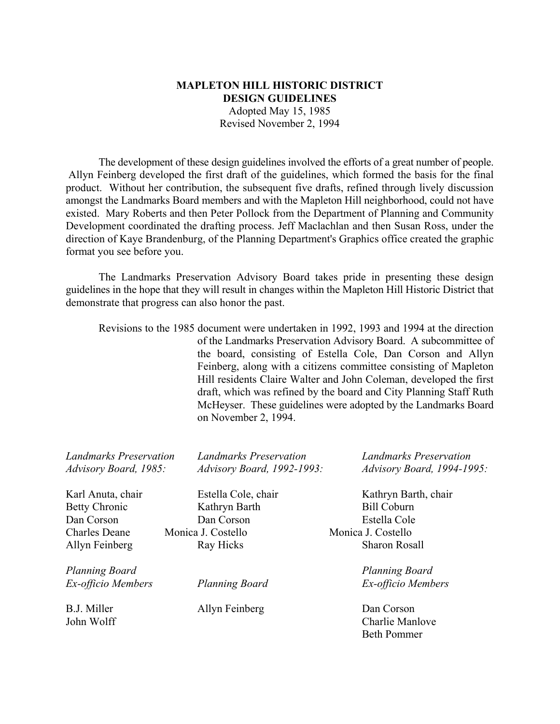# **MAPLETON HILL HISTORIC DISTRICT DESIGN GUIDELINES** Adopted May 15, 1985 Revised November 2, 1994

The development of these design guidelines involved the efforts of a great number of people. Allyn Feinberg developed the first draft of the guidelines, which formed the basis for the final product. Without her contribution, the subsequent five drafts, refined through lively discussion amongst the Landmarks Board members and with the Mapleton Hill neighborhood, could not have existed. Mary Roberts and then Peter Pollock from the Department of Planning and Community Development coordinated the drafting process. Jeff Maclachlan and then Susan Ross, under the direction of Kaye Brandenburg, of the Planning Department's Graphics office created the graphic format you see before you.

The Landmarks Preservation Advisory Board takes pride in presenting these design guidelines in the hope that they will result in changes within the Mapleton Hill Historic District that demonstrate that progress can also honor the past.

Revisions to the 1985 document were undertaken in 1992, 1993 and 1994 at the direction of the Landmarks Preservation Advisory Board. A subcommittee of the board, consisting of Estella Cole, Dan Corson and Allyn Feinberg, along with a citizens committee consisting of Mapleton Hill residents Claire Walter and John Coleman, developed the first draft, which was refined by the board and City Planning Staff Ruth McHeyser. These guidelines were adopted by the Landmarks Board on November 2, 1994.

| <b>Landmarks Preservation</b><br>Advisory Board, 1985: | <b>Landmarks Preservation</b><br>Advisory Board, 1992-1993: | <b>Landmarks Preservation</b><br>Advisory Board, 1994-1995: |
|--------------------------------------------------------|-------------------------------------------------------------|-------------------------------------------------------------|
| Karl Anuta, chair                                      | Estella Cole, chair                                         | Kathryn Barth, chair                                        |
| <b>Betty Chronic</b>                                   | Kathryn Barth                                               | <b>Bill Coburn</b>                                          |
| Dan Corson                                             | Dan Corson                                                  | Estella Cole                                                |
| <b>Charles Deane</b>                                   | Monica J. Costello                                          | Monica J. Costello                                          |
| Allyn Feinberg                                         | Ray Hicks                                                   | <b>Sharon Rosall</b>                                        |
| Planning Board                                         |                                                             | <b>Planning Board</b>                                       |
| Ex-officio Members                                     | <b>Planning Board</b>                                       | Ex-officio Members                                          |
| B.J. Miller                                            | Allyn Feinberg                                              | Dan Corson                                                  |
| John Wolff                                             |                                                             | Charlie Manlove                                             |
|                                                        |                                                             | <b>Beth Pommer</b>                                          |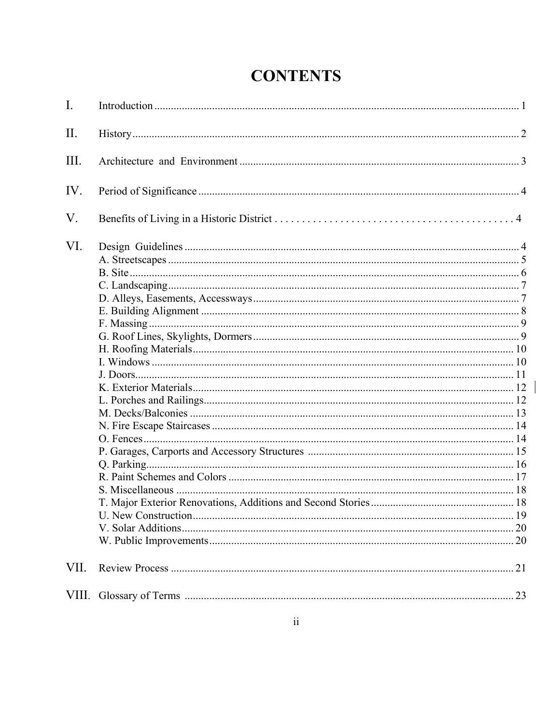| <b>CONTENTS</b> |
|-----------------|
|-----------------|

| $\mathbf{I}$ . |  |
|----------------|--|
| II.            |  |
| III.           |  |
| IV.            |  |
| V.             |  |
| VI.            |  |
| VII.           |  |
|                |  |

 $\begin{array}{c} \rule{0pt}{2ex} \rule{0pt}{2ex} \rule{0pt}{2ex} \rule{0pt}{2ex} \rule{0pt}{2ex} \rule{0pt}{2ex} \rule{0pt}{2ex} \rule{0pt}{2ex} \rule{0pt}{2ex} \rule{0pt}{2ex} \rule{0pt}{2ex} \rule{0pt}{2ex} \rule{0pt}{2ex} \rule{0pt}{2ex} \rule{0pt}{2ex} \rule{0pt}{2ex} \rule{0pt}{2ex} \rule{0pt}{2ex} \rule{0pt}{2ex} \rule{0pt}{2ex} \rule{0pt}{2ex} \rule{0pt}{2ex} \rule{0pt}{2ex} \rule{0pt}{$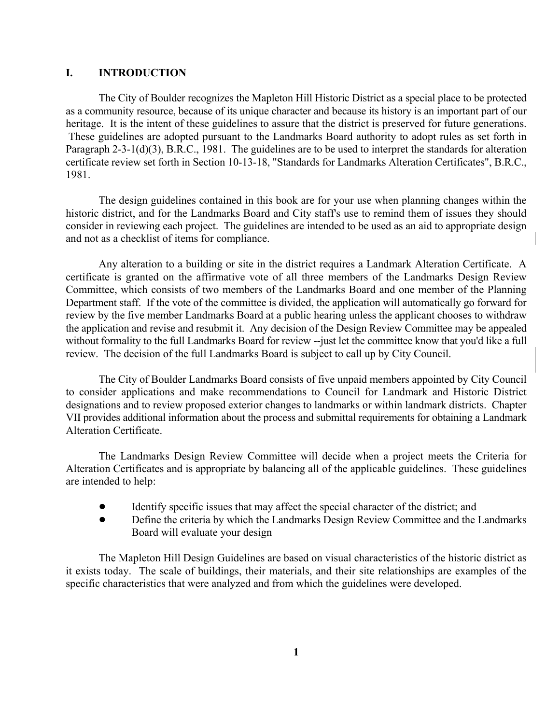### **I. INTRODUCTION**

The City of Boulder recognizes the Mapleton Hill Historic District as a special place to be protected as a community resource, because of its unique character and because its history is an important part of our heritage. It is the intent of these guidelines to assure that the district is preserved for future generations. These guidelines are adopted pursuant to the Landmarks Board authority to adopt rules as set forth in Paragraph 2-3-1(d)(3), B.R.C., 1981. The guidelines are to be used to interpret the standards for alteration certificate review set forth in Section 10-13-18, "Standards for Landmarks Alteration Certificates", B.R.C., 1981.

The design guidelines contained in this book are for your use when planning changes within the historic district, and for the Landmarks Board and City staff's use to remind them of issues they should consider in reviewing each project. The guidelines are intended to be used as an aid to appropriate design and not as a checklist of items for compliance.

Any alteration to a building or site in the district requires a Landmark Alteration Certificate. A certificate is granted on the affirmative vote of all three members of the Landmarks Design Review Committee, which consists of two members of the Landmarks Board and one member of the Planning Department staff. If the vote of the committee is divided, the application will automatically go forward for review by the five member Landmarks Board at a public hearing unless the applicant chooses to withdraw the application and revise and resubmit it. Any decision of the Design Review Committee may be appealed without formality to the full Landmarks Board for review --just let the committee know that you'd like a full review. The decision of the full Landmarks Board is subject to call up by City Council.

The City of Boulder Landmarks Board consists of five unpaid members appointed by City Council to consider applications and make recommendations to Council for Landmark and Historic District designations and to review proposed exterior changes to landmarks or within landmark districts. Chapter VII provides additional information about the process and submittal requirements for obtaining a Landmark Alteration Certificate.

The Landmarks Design Review Committee will decide when a project meets the Criteria for Alteration Certificates and is appropriate by balancing all of the applicable guidelines. These guidelines are intended to help:

- ! Identify specific issues that may affect the special character of the district; and
- Define the criteria by which the Landmarks Design Review Committee and the Landmarks Board will evaluate your design

The Mapleton Hill Design Guidelines are based on visual characteristics of the historic district as it exists today. The scale of buildings, their materials, and their site relationships are examples of the specific characteristics that were analyzed and from which the guidelines were developed.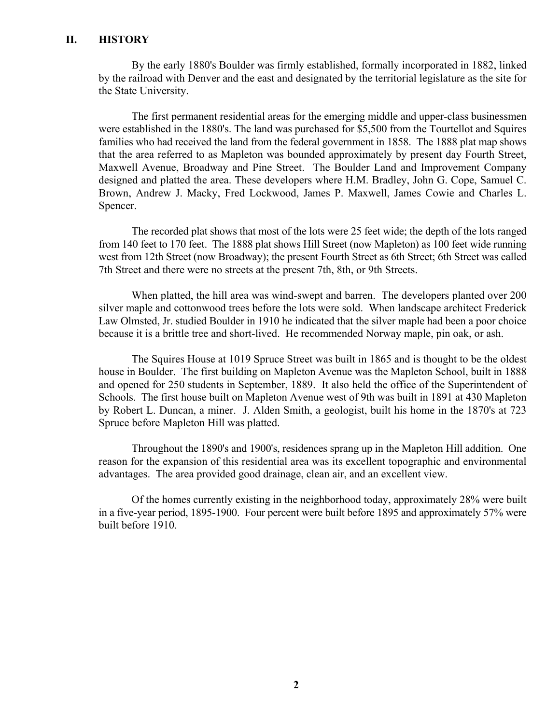#### **II. HISTORY**

By the early 1880's Boulder was firmly established, formally incorporated in 1882, linked by the railroad with Denver and the east and designated by the territorial legislature as the site for the State University.

The first permanent residential areas for the emerging middle and upper-class businessmen were established in the 1880's. The land was purchased for \$5,500 from the Tourtellot and Squires families who had received the land from the federal government in 1858. The 1888 plat map shows that the area referred to as Mapleton was bounded approximately by present day Fourth Street, Maxwell Avenue, Broadway and Pine Street. The Boulder Land and Improvement Company designed and platted the area. These developers where H.M. Bradley, John G. Cope, Samuel C. Brown, Andrew J. Macky, Fred Lockwood, James P. Maxwell, James Cowie and Charles L. Spencer.

The recorded plat shows that most of the lots were 25 feet wide; the depth of the lots ranged from 140 feet to 170 feet. The 1888 plat shows Hill Street (now Mapleton) as 100 feet wide running west from 12th Street (now Broadway); the present Fourth Street as 6th Street; 6th Street was called 7th Street and there were no streets at the present 7th, 8th, or 9th Streets.

When platted, the hill area was wind-swept and barren. The developers planted over 200 silver maple and cottonwood trees before the lots were sold. When landscape architect Frederick Law Olmsted, Jr. studied Boulder in 1910 he indicated that the silver maple had been a poor choice because it is a brittle tree and short-lived. He recommended Norway maple, pin oak, or ash.

The Squires House at 1019 Spruce Street was built in 1865 and is thought to be the oldest house in Boulder. The first building on Mapleton Avenue was the Mapleton School, built in 1888 and opened for 250 students in September, 1889. It also held the office of the Superintendent of Schools. The first house built on Mapleton Avenue west of 9th was built in 1891 at 430 Mapleton by Robert L. Duncan, a miner. J. Alden Smith, a geologist, built his home in the 1870's at 723 Spruce before Mapleton Hill was platted.

Throughout the 1890's and 1900's, residences sprang up in the Mapleton Hill addition. One reason for the expansion of this residential area was its excellent topographic and environmental advantages. The area provided good drainage, clean air, and an excellent view.

Of the homes currently existing in the neighborhood today, approximately 28% were built in a five-year period, 1895-1900. Four percent were built before 1895 and approximately 57% were built before 1910.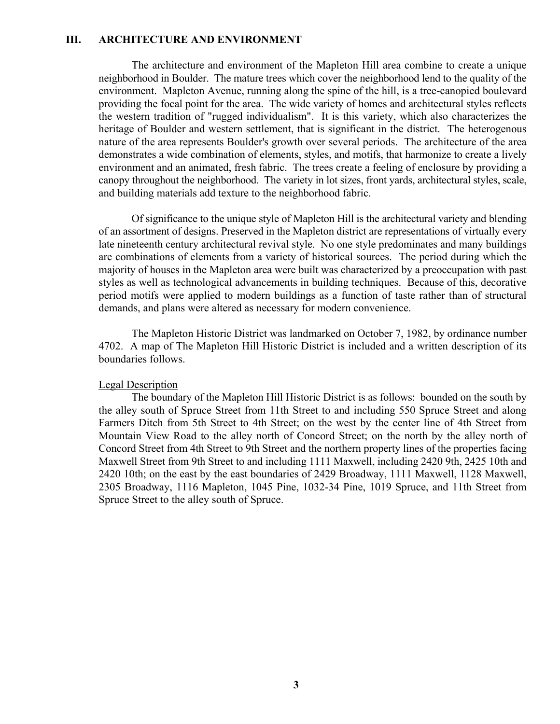#### **III. ARCHITECTURE AND ENVIRONMENT**

The architecture and environment of the Mapleton Hill area combine to create a unique neighborhood in Boulder. The mature trees which cover the neighborhood lend to the quality of the environment. Mapleton Avenue, running along the spine of the hill, is a tree-canopied boulevard providing the focal point for the area. The wide variety of homes and architectural styles reflects the western tradition of "rugged individualism". It is this variety, which also characterizes the heritage of Boulder and western settlement, that is significant in the district. The heterogenous nature of the area represents Boulder's growth over several periods. The architecture of the area demonstrates a wide combination of elements, styles, and motifs, that harmonize to create a lively environment and an animated, fresh fabric. The trees create a feeling of enclosure by providing a canopy throughout the neighborhood. The variety in lot sizes, front yards, architectural styles, scale, and building materials add texture to the neighborhood fabric.

Of significance to the unique style of Mapleton Hill is the architectural variety and blending of an assortment of designs. Preserved in the Mapleton district are representations of virtually every late nineteenth century architectural revival style. No one style predominates and many buildings are combinations of elements from a variety of historical sources. The period during which the majority of houses in the Mapleton area were built was characterized by a preoccupation with past styles as well as technological advancements in building techniques. Because of this, decorative period motifs were applied to modern buildings as a function of taste rather than of structural demands, and plans were altered as necessary for modern convenience.

The Mapleton Historic District was landmarked on October 7, 1982, by ordinance number 4702. A map of The Mapleton Hill Historic District is included and a written description of its boundaries follows.

#### Legal Description

The boundary of the Mapleton Hill Historic District is as follows: bounded on the south by the alley south of Spruce Street from 11th Street to and including 550 Spruce Street and along Farmers Ditch from 5th Street to 4th Street; on the west by the center line of 4th Street from Mountain View Road to the alley north of Concord Street; on the north by the alley north of Concord Street from 4th Street to 9th Street and the northern property lines of the properties facing Maxwell Street from 9th Street to and including 1111 Maxwell, including 2420 9th, 2425 10th and 2420 10th; on the east by the east boundaries of 2429 Broadway, 1111 Maxwell, 1128 Maxwell, 2305 Broadway, 1116 Mapleton, 1045 Pine, 1032-34 Pine, 1019 Spruce, and 11th Street from Spruce Street to the alley south of Spruce.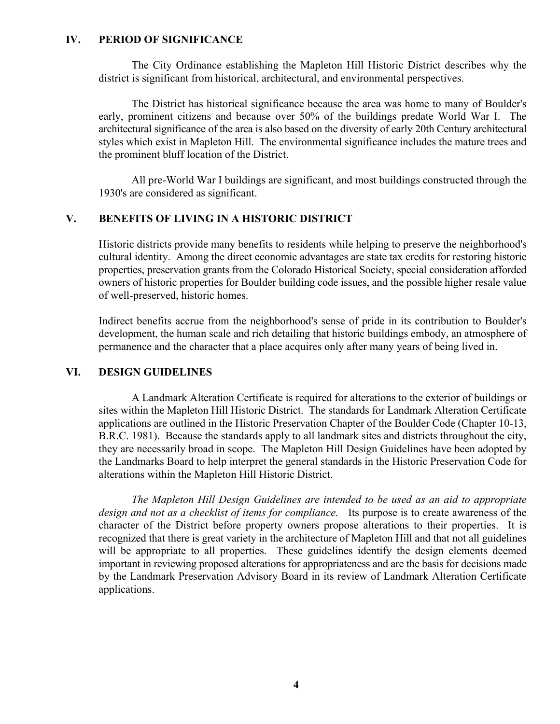### **IV. PERIOD OF SIGNIFICANCE**

The City Ordinance establishing the Mapleton Hill Historic District describes why the district is significant from historical, architectural, and environmental perspectives.

The District has historical significance because the area was home to many of Boulder's early, prominent citizens and because over 50% of the buildings predate World War I. The architectural significance of the area is also based on the diversity of early 20th Century architectural styles which exist in Mapleton Hill. The environmental significance includes the mature trees and the prominent bluff location of the District.

All pre-World War I buildings are significant, and most buildings constructed through the 1930's are considered as significant.

## **V. BENEFITS OF LIVING IN A HISTORIC DISTRICT**

Historic districts provide many benefits to residents while helping to preserve the neighborhood's cultural identity. Among the direct economic advantages are state tax credits for restoring historic properties, preservation grants from the Colorado Historical Society, special consideration afforded owners of historic properties for Boulder building code issues, and the possible higher resale value of well-preserved, historic homes.

Indirect benefits accrue from the neighborhood's sense of pride in its contribution to Boulder's development, the human scale and rich detailing that historic buildings embody, an atmosphere of permanence and the character that a place acquires only after many years of being lived in.

# **VI. DESIGN GUIDELINES**

A Landmark Alteration Certificate is required for alterations to the exterior of buildings or sites within the Mapleton Hill Historic District. The standards for Landmark Alteration Certificate applications are outlined in the Historic Preservation Chapter of the Boulder Code (Chapter 10-13, B.R.C. 1981). Because the standards apply to all landmark sites and districts throughout the city, they are necessarily broad in scope. The Mapleton Hill Design Guidelines have been adopted by the Landmarks Board to help interpret the general standards in the Historic Preservation Code for alterations within the Mapleton Hill Historic District.

*The Mapleton Hill Design Guidelines are intended to be used as an aid to appropriate design and not as a checklist of items for compliance.* Its purpose is to create awareness of the character of the District before property owners propose alterations to their properties. It is recognized that there is great variety in the architecture of Mapleton Hill and that not all guidelines will be appropriate to all properties. These guidelines identify the design elements deemed important in reviewing proposed alterations for appropriateness and are the basis for decisions made by the Landmark Preservation Advisory Board in its review of Landmark Alteration Certificate applications.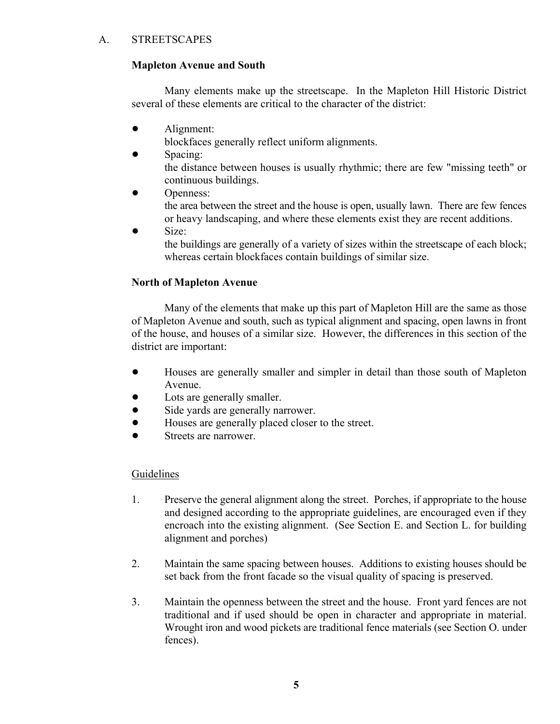# A. STREETSCAPES

# **Mapleton Avenue and South**

Many elements make up the streetscape. In the Mapleton Hill Historic District several of these elements are critical to the character of the district:

• Alignment:

blockfaces generally reflect uniform alignments.

- Spacing: the distance between houses is usually rhythmic; there are few "missing teeth" or continuous buildings.
- Openness:

the area between the street and the house is open, usually lawn. There are few fences or heavy landscaping, and where these elements exist they are recent additions.

 $\bullet$  Size: the buildings are generally of a variety of sizes within the streetscape of each block; whereas certain blockfaces contain buildings of similar size.

# **North of Mapleton Avenue**

Many of the elements that make up this part of Mapleton Hill are the same as those of Mapleton Avenue and south, such as typical alignment and spacing, open lawns in front of the house, and houses of a similar size. However, the differences in this section of the district are important:

- ! Houses are generally smaller and simpler in detail than those south of Mapleton Avenue.
- Lots are generally smaller.
- Side yards are generally narrower.
- ! Houses are generally placed closer to the street.
- Streets are narrower.

- 1. Preserve the general alignment along the street. Porches, if appropriate to the house and designed according to the appropriate guidelines, are encouraged even if they encroach into the existing alignment. (See Section E. and Section L. for building alignment and porches)
- 2. Maintain the same spacing between houses. Additions to existing houses should be set back from the front facade so the visual quality of spacing is preserved.
- 3. Maintain the openness between the street and the house. Front yard fences are not traditional and if used should be open in character and appropriate in material. Wrought iron and wood pickets are traditional fence materials (see Section O. under fences).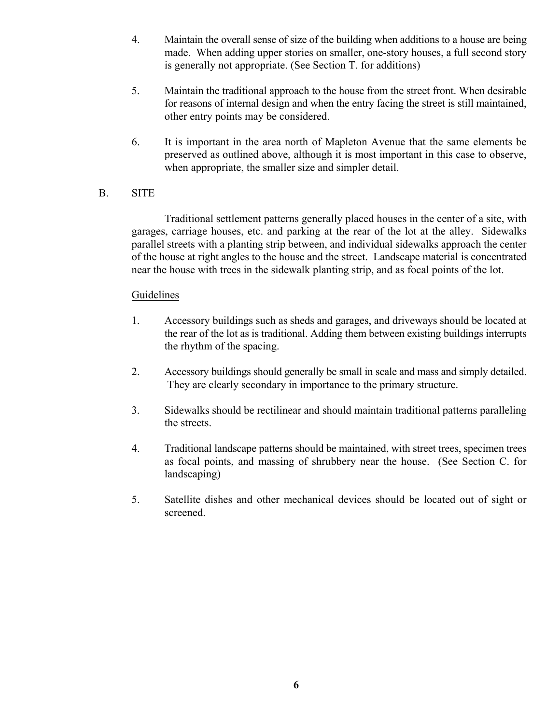- 4. Maintain the overall sense of size of the building when additions to a house are being made. When adding upper stories on smaller, one-story houses, a full second story is generally not appropriate. (See Section T. for additions)
- 5. Maintain the traditional approach to the house from the street front. When desirable for reasons of internal design and when the entry facing the street is still maintained, other entry points may be considered.
- 6. It is important in the area north of Mapleton Avenue that the same elements be preserved as outlined above, although it is most important in this case to observe, when appropriate, the smaller size and simpler detail.

# B. SITE

Traditional settlement patterns generally placed houses in the center of a site, with garages, carriage houses, etc. and parking at the rear of the lot at the alley. Sidewalks parallel streets with a planting strip between, and individual sidewalks approach the center of the house at right angles to the house and the street. Landscape material is concentrated near the house with trees in the sidewalk planting strip, and as focal points of the lot.

- 1. Accessory buildings such as sheds and garages, and driveways should be located at the rear of the lot as is traditional. Adding them between existing buildings interrupts the rhythm of the spacing.
- 2. Accessory buildings should generally be small in scale and mass and simply detailed. They are clearly secondary in importance to the primary structure.
- 3. Sidewalks should be rectilinear and should maintain traditional patterns paralleling the streets.
- 4. Traditional landscape patterns should be maintained, with street trees, specimen trees as focal points, and massing of shrubbery near the house. (See Section C. for landscaping)
- 5. Satellite dishes and other mechanical devices should be located out of sight or screened.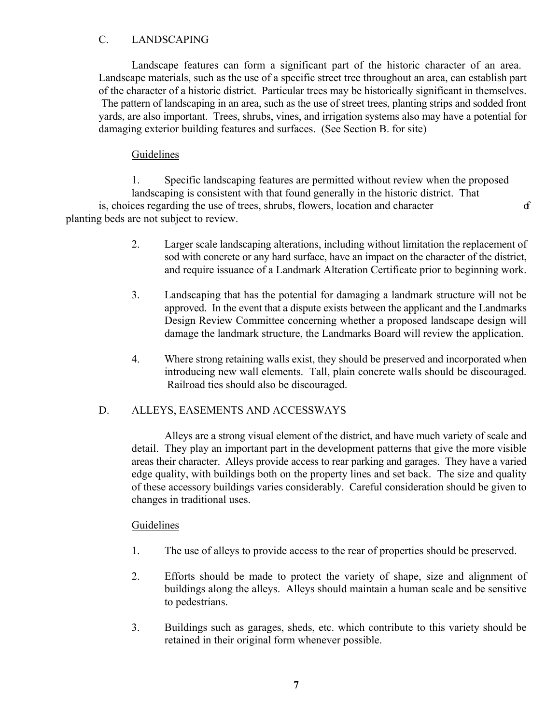# C. LANDSCAPING

Landscape features can form a significant part of the historic character of an area. Landscape materials, such as the use of a specific street tree throughout an area, can establish part of the character of a historic district. Particular trees may be historically significant in themselves. The pattern of landscaping in an area, such as the use of street trees, planting strips and sodded front yards, are also important. Trees, shrubs, vines, and irrigation systems also may have a potential for damaging exterior building features and surfaces. (See Section B. for site)

# **Guidelines**

1. Specific landscaping features are permitted without review when the proposed landscaping is consistent with that found generally in the historic district. That is, choices regarding the use of trees, shrubs, flowers, location and character of planting beds are not subject to review.

- 2. Larger scale landscaping alterations, including without limitation the replacement of sod with concrete or any hard surface, have an impact on the character of the district, and require issuance of a Landmark Alteration Certificate prior to beginning work.
- 3. Landscaping that has the potential for damaging a landmark structure will not be approved. In the event that a dispute exists between the applicant and the Landmarks Design Review Committee concerning whether a proposed landscape design will damage the landmark structure, the Landmarks Board will review the application.
- 4. Where strong retaining walls exist, they should be preserved and incorporated when introducing new wall elements. Tall, plain concrete walls should be discouraged. Railroad ties should also be discouraged.

# D. ALLEYS, EASEMENTS AND ACCESSWAYS

Alleys are a strong visual element of the district, and have much variety of scale and detail. They play an important part in the development patterns that give the more visible areas their character. Alleys provide access to rear parking and garages. They have a varied edge quality, with buildings both on the property lines and set back. The size and quality of these accessory buildings varies considerably. Careful consideration should be given to changes in traditional uses.

- 1. The use of alleys to provide access to the rear of properties should be preserved.
- 2. Efforts should be made to protect the variety of shape, size and alignment of buildings along the alleys. Alleys should maintain a human scale and be sensitive to pedestrians.
- 3. Buildings such as garages, sheds, etc. which contribute to this variety should be retained in their original form whenever possible.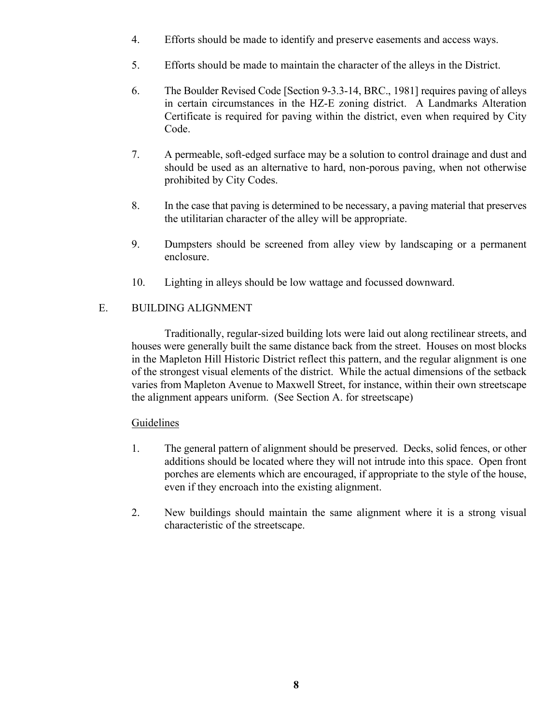- 4. Efforts should be made to identify and preserve easements and access ways.
- 5. Efforts should be made to maintain the character of the alleys in the District.
- 6. The Boulder Revised Code [Section 9-3.3-14, BRC., 1981] requires paving of alleys in certain circumstances in the HZ-E zoning district. A Landmarks Alteration Certificate is required for paving within the district, even when required by City Code.
- 7. A permeable, soft-edged surface may be a solution to control drainage and dust and should be used as an alternative to hard, non-porous paving, when not otherwise prohibited by City Codes.
- 8. In the case that paving is determined to be necessary, a paving material that preserves the utilitarian character of the alley will be appropriate.
- 9. Dumpsters should be screened from alley view by landscaping or a permanent enclosure.
- 10. Lighting in alleys should be low wattage and focussed downward.

# E. BUILDING ALIGNMENT

Traditionally, regular-sized building lots were laid out along rectilinear streets, and houses were generally built the same distance back from the street. Houses on most blocks in the Mapleton Hill Historic District reflect this pattern, and the regular alignment is one of the strongest visual elements of the district. While the actual dimensions of the setback varies from Mapleton Avenue to Maxwell Street, for instance, within their own streetscape the alignment appears uniform. (See Section A. for streetscape)

- 1. The general pattern of alignment should be preserved. Decks, solid fences, or other additions should be located where they will not intrude into this space. Open front porches are elements which are encouraged, if appropriate to the style of the house, even if they encroach into the existing alignment.
- 2. New buildings should maintain the same alignment where it is a strong visual characteristic of the streetscape.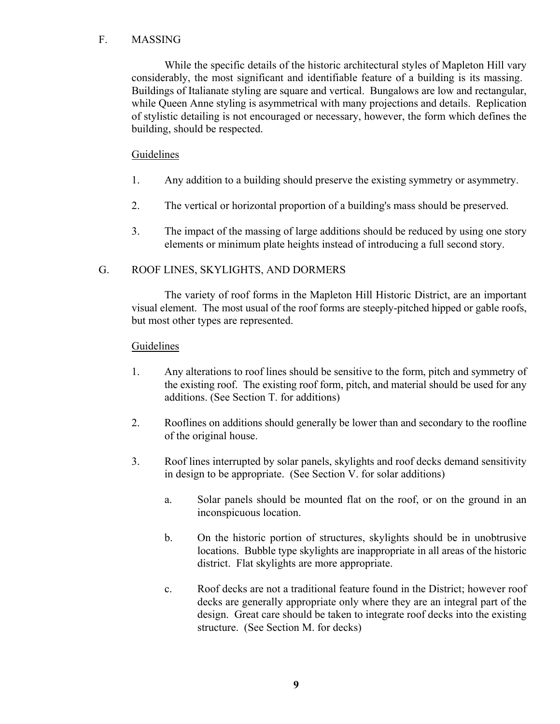## F. MASSING

While the specific details of the historic architectural styles of Mapleton Hill vary considerably, the most significant and identifiable feature of a building is its massing. Buildings of Italianate styling are square and vertical. Bungalows are low and rectangular, while Queen Anne styling is asymmetrical with many projections and details. Replication of stylistic detailing is not encouraged or necessary, however, the form which defines the building, should be respected.

# **Guidelines**

- 1. Any addition to a building should preserve the existing symmetry or asymmetry.
- 2. The vertical or horizontal proportion of a building's mass should be preserved.
- 3. The impact of the massing of large additions should be reduced by using one story elements or minimum plate heights instead of introducing a full second story.

## G. ROOF LINES, SKYLIGHTS, AND DORMERS

The variety of roof forms in the Mapleton Hill Historic District, are an important visual element. The most usual of the roof forms are steeply-pitched hipped or gable roofs, but most other types are represented.

- 1. Any alterations to roof lines should be sensitive to the form, pitch and symmetry of the existing roof. The existing roof form, pitch, and material should be used for any additions. (See Section T. for additions)
- 2. Rooflines on additions should generally be lower than and secondary to the roofline of the original house.
- 3. Roof lines interrupted by solar panels, skylights and roof decks demand sensitivity in design to be appropriate. (See Section V. for solar additions)
	- a. Solar panels should be mounted flat on the roof, or on the ground in an inconspicuous location.
	- b. On the historic portion of structures, skylights should be in unobtrusive locations. Bubble type skylights are inappropriate in all areas of the historic district. Flat skylights are more appropriate.
	- c. Roof decks are not a traditional feature found in the District; however roof decks are generally appropriate only where they are an integral part of the design. Great care should be taken to integrate roof decks into the existing structure. (See Section M. for decks)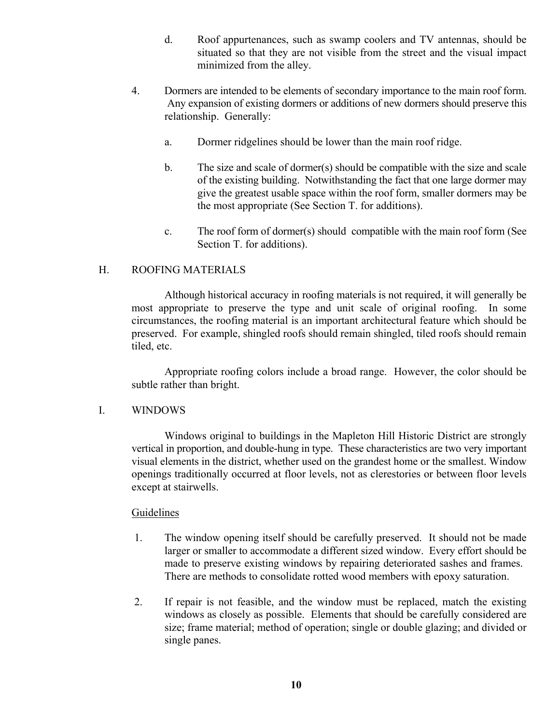- d. Roof appurtenances, such as swamp coolers and TV antennas, should be situated so that they are not visible from the street and the visual impact minimized from the alley.
- 4. Dormers are intended to be elements of secondary importance to the main roof form. Any expansion of existing dormers or additions of new dormers should preserve this relationship. Generally:
	- a. Dormer ridgelines should be lower than the main roof ridge.
	- b. The size and scale of dormer(s) should be compatible with the size and scale of the existing building. Notwithstanding the fact that one large dormer may give the greatest usable space within the roof form, smaller dormers may be the most appropriate (See Section T. for additions).
	- c. The roof form of dormer(s) should compatible with the main roof form (See Section T. for additions).

### H. ROOFING MATERIALS

Although historical accuracy in roofing materials is not required, it will generally be most appropriate to preserve the type and unit scale of original roofing. In some circumstances, the roofing material is an important architectural feature which should be preserved. For example, shingled roofs should remain shingled, tiled roofs should remain tiled, etc.

Appropriate roofing colors include a broad range. However, the color should be subtle rather than bright.

### I. WINDOWS

Windows original to buildings in the Mapleton Hill Historic District are strongly vertical in proportion, and double-hung in type. These characteristics are two very important visual elements in the district, whether used on the grandest home or the smallest. Window openings traditionally occurred at floor levels, not as clerestories or between floor levels except at stairwells.

- 1. The window opening itself should be carefully preserved. It should not be made larger or smaller to accommodate a different sized window. Every effort should be made to preserve existing windows by repairing deteriorated sashes and frames. There are methods to consolidate rotted wood members with epoxy saturation.
- 2. If repair is not feasible, and the window must be replaced, match the existing windows as closely as possible. Elements that should be carefully considered are size; frame material; method of operation; single or double glazing; and divided or single panes.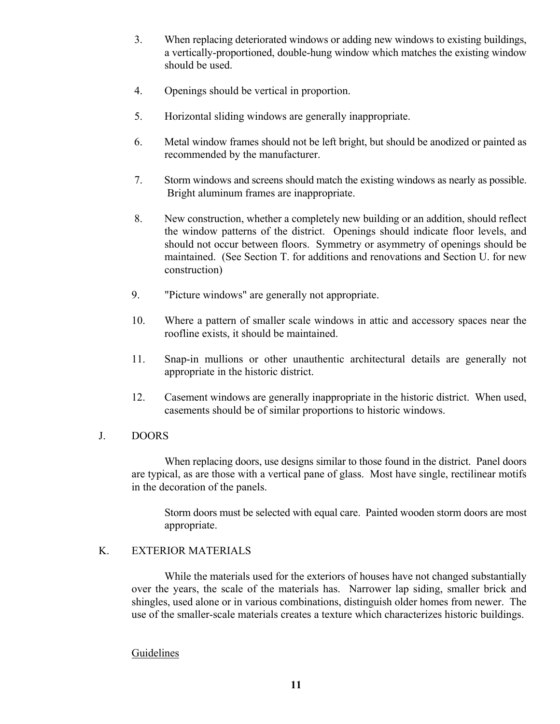- 3. When replacing deteriorated windows or adding new windows to existing buildings, a vertically-proportioned, double-hung window which matches the existing window should be used.
- 4. Openings should be vertical in proportion.
- 5. Horizontal sliding windows are generally inappropriate.
- 6. Metal window frames should not be left bright, but should be anodized or painted as recommended by the manufacturer.
- 7. Storm windows and screens should match the existing windows as nearly as possible. Bright aluminum frames are inappropriate.
- 8. New construction, whether a completely new building or an addition, should reflect the window patterns of the district. Openings should indicate floor levels, and should not occur between floors. Symmetry or asymmetry of openings should be maintained. (See Section T. for additions and renovations and Section U. for new construction)
- 9. "Picture windows" are generally not appropriate.
- 10. Where a pattern of smaller scale windows in attic and accessory spaces near the roofline exists, it should be maintained.
- 11. Snap-in mullions or other unauthentic architectural details are generally not appropriate in the historic district.
- 12. Casement windows are generally inappropriate in the historic district. When used, casements should be of similar proportions to historic windows.

### J. DOORS

When replacing doors, use designs similar to those found in the district. Panel doors are typical, as are those with a vertical pane of glass. Most have single, rectilinear motifs in the decoration of the panels.

Storm doors must be selected with equal care. Painted wooden storm doors are most appropriate.

### K. EXTERIOR MATERIALS

While the materials used for the exteriors of houses have not changed substantially over the years, the scale of the materials has. Narrower lap siding, smaller brick and shingles, used alone or in various combinations, distinguish older homes from newer. The use of the smaller-scale materials creates a texture which characterizes historic buildings.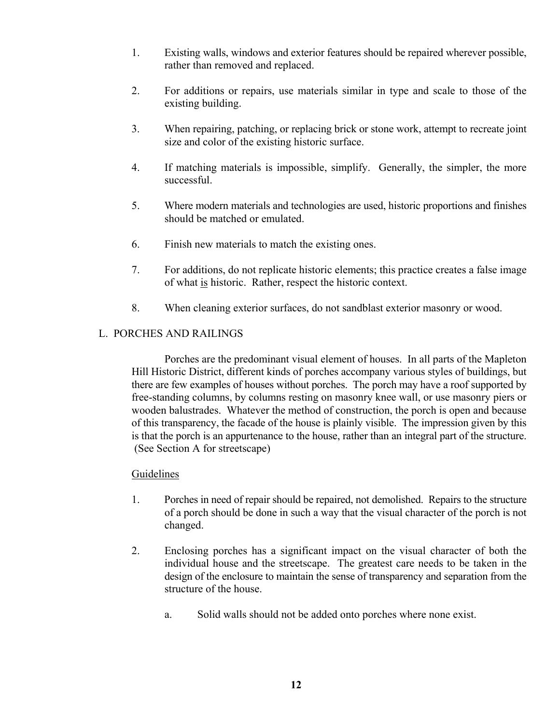- 1. Existing walls, windows and exterior features should be repaired wherever possible, rather than removed and replaced.
- 2. For additions or repairs, use materials similar in type and scale to those of the existing building.
- 3. When repairing, patching, or replacing brick or stone work, attempt to recreate joint size and color of the existing historic surface.
- 4. If matching materials is impossible, simplify. Generally, the simpler, the more successful.
- 5. Where modern materials and technologies are used, historic proportions and finishes should be matched or emulated.
- 6. Finish new materials to match the existing ones.
- 7. For additions, do not replicate historic elements; this practice creates a false image of what is historic. Rather, respect the historic context.
- 8. When cleaning exterior surfaces, do not sandblast exterior masonry or wood.

## L. PORCHES AND RAILINGS

Porches are the predominant visual element of houses. In all parts of the Mapleton Hill Historic District, different kinds of porches accompany various styles of buildings, but there are few examples of houses without porches. The porch may have a roof supported by free-standing columns, by columns resting on masonry knee wall, or use masonry piers or wooden balustrades. Whatever the method of construction, the porch is open and because of this transparency, the facade of the house is plainly visible. The impression given by this is that the porch is an appurtenance to the house, rather than an integral part of the structure. (See Section A for streetscape)

- 1. Porches in need of repair should be repaired, not demolished. Repairs to the structure of a porch should be done in such a way that the visual character of the porch is not changed.
- 2. Enclosing porches has a significant impact on the visual character of both the individual house and the streetscape. The greatest care needs to be taken in the design of the enclosure to maintain the sense of transparency and separation from the structure of the house.
	- a. Solid walls should not be added onto porches where none exist.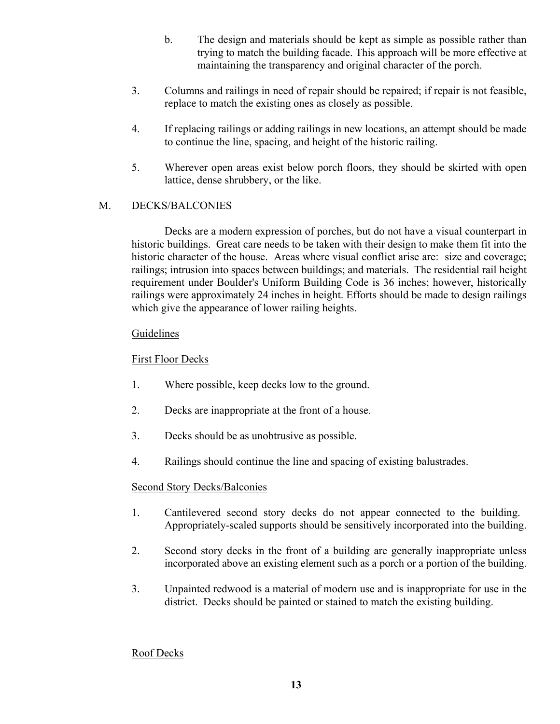- b. The design and materials should be kept as simple as possible rather than trying to match the building facade. This approach will be more effective at maintaining the transparency and original character of the porch.
- 3. Columns and railings in need of repair should be repaired; if repair is not feasible, replace to match the existing ones as closely as possible.
- 4. If replacing railings or adding railings in new locations, an attempt should be made to continue the line, spacing, and height of the historic railing.
- 5. Wherever open areas exist below porch floors, they should be skirted with open lattice, dense shrubbery, or the like.

# M. DECKS/BALCONIES

Decks are a modern expression of porches, but do not have a visual counterpart in historic buildings. Great care needs to be taken with their design to make them fit into the historic character of the house. Areas where visual conflict arise are: size and coverage; railings; intrusion into spaces between buildings; and materials. The residential rail height requirement under Boulder's Uniform Building Code is 36 inches; however, historically railings were approximately 24 inches in height. Efforts should be made to design railings which give the appearance of lower railing heights.

## Guidelines

# First Floor Decks

- 1. Where possible, keep decks low to the ground.
- 2. Decks are inappropriate at the front of a house.
- 3. Decks should be as unobtrusive as possible.
- 4. Railings should continue the line and spacing of existing balustrades.

# Second Story Decks/Balconies

- 1. Cantilevered second story decks do not appear connected to the building. Appropriately-scaled supports should be sensitively incorporated into the building.
- 2. Second story decks in the front of a building are generally inappropriate unless incorporated above an existing element such as a porch or a portion of the building.
- 3. Unpainted redwood is a material of modern use and is inappropriate for use in the district. Decks should be painted or stained to match the existing building.

### Roof Decks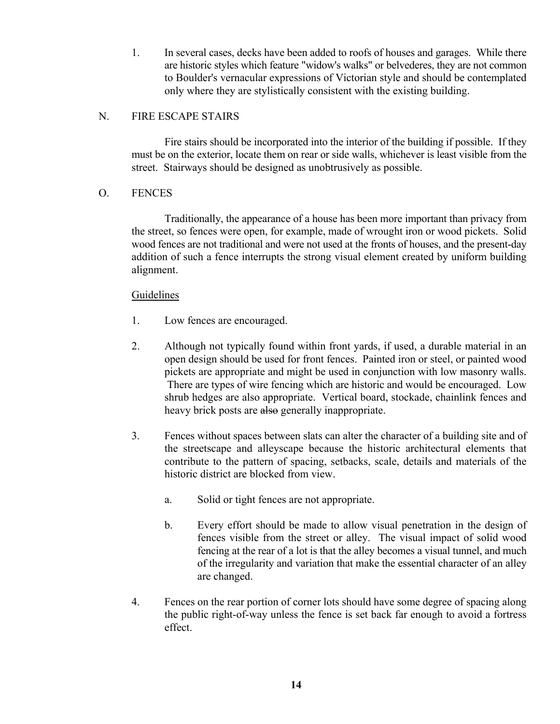1. In several cases, decks have been added to roofs of houses and garages. While there are historic styles which feature "widow's walks" or belvederes, they are not common to Boulder's vernacular expressions of Victorian style and should be contemplated only where they are stylistically consistent with the existing building.

# N. FIRE ESCAPE STAIRS

Fire stairs should be incorporated into the interior of the building if possible. If they must be on the exterior, locate them on rear or side walls, whichever is least visible from the street. Stairways should be designed as unobtrusively as possible.

## O. FENCES

Traditionally, the appearance of a house has been more important than privacy from the street, so fences were open, for example, made of wrought iron or wood pickets. Solid wood fences are not traditional and were not used at the fronts of houses, and the present-day addition of such a fence interrupts the strong visual element created by uniform building alignment.

- 1. Low fences are encouraged.
- 2. Although not typically found within front yards, if used, a durable material in an open design should be used for front fences. Painted iron or steel, or painted wood pickets are appropriate and might be used in conjunction with low masonry walls. There are types of wire fencing which are historic and would be encouraged. Low shrub hedges are also appropriate. Vertical board, stockade, chainlink fences and heavy brick posts are also generally inappropriate.
- 3. Fences without spaces between slats can alter the character of a building site and of the streetscape and alleyscape because the historic architectural elements that contribute to the pattern of spacing, setbacks, scale, details and materials of the historic district are blocked from view.
	- a. Solid or tight fences are not appropriate.
	- b. Every effort should be made to allow visual penetration in the design of fences visible from the street or alley. The visual impact of solid wood fencing at the rear of a lot is that the alley becomes a visual tunnel, and much of the irregularity and variation that make the essential character of an alley are changed.
- 4. Fences on the rear portion of corner lots should have some degree of spacing along the public right-of-way unless the fence is set back far enough to avoid a fortress effect.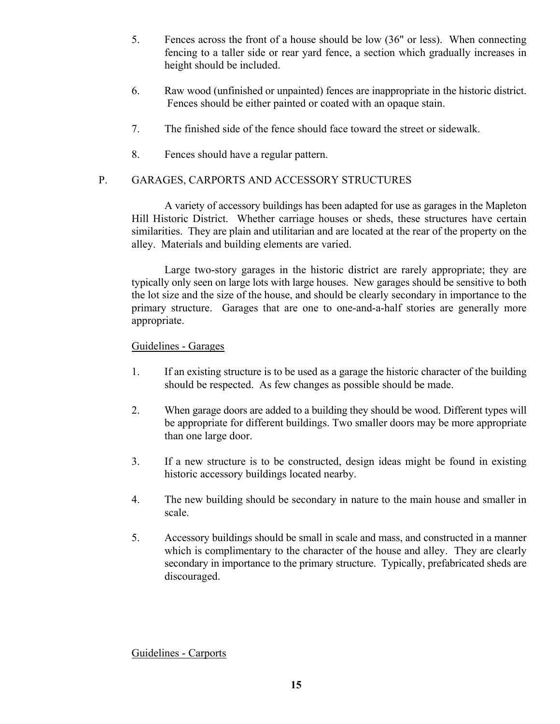- 5. Fences across the front of a house should be low (36" or less). When connecting fencing to a taller side or rear yard fence, a section which gradually increases in height should be included.
- 6. Raw wood (unfinished or unpainted) fences are inappropriate in the historic district. Fences should be either painted or coated with an opaque stain.
- 7. The finished side of the fence should face toward the street or sidewalk.
- 8. Fences should have a regular pattern.

# P. GARAGES, CARPORTS AND ACCESSORY STRUCTURES

A variety of accessory buildings has been adapted for use as garages in the Mapleton Hill Historic District. Whether carriage houses or sheds, these structures have certain similarities. They are plain and utilitarian and are located at the rear of the property on the alley. Materials and building elements are varied.

Large two-story garages in the historic district are rarely appropriate; they are typically only seen on large lots with large houses. New garages should be sensitive to both the lot size and the size of the house, and should be clearly secondary in importance to the primary structure. Garages that are one to one-and-a-half stories are generally more appropriate.

# Guidelines - Garages

- 1. If an existing structure is to be used as a garage the historic character of the building should be respected. As few changes as possible should be made.
- 2. When garage doors are added to a building they should be wood. Different types will be appropriate for different buildings. Two smaller doors may be more appropriate than one large door.
- 3. If a new structure is to be constructed, design ideas might be found in existing historic accessory buildings located nearby.
- 4. The new building should be secondary in nature to the main house and smaller in scale.
- 5. Accessory buildings should be small in scale and mass, and constructed in a manner which is complimentary to the character of the house and alley. They are clearly secondary in importance to the primary structure. Typically, prefabricated sheds are discouraged.

Guidelines - Carports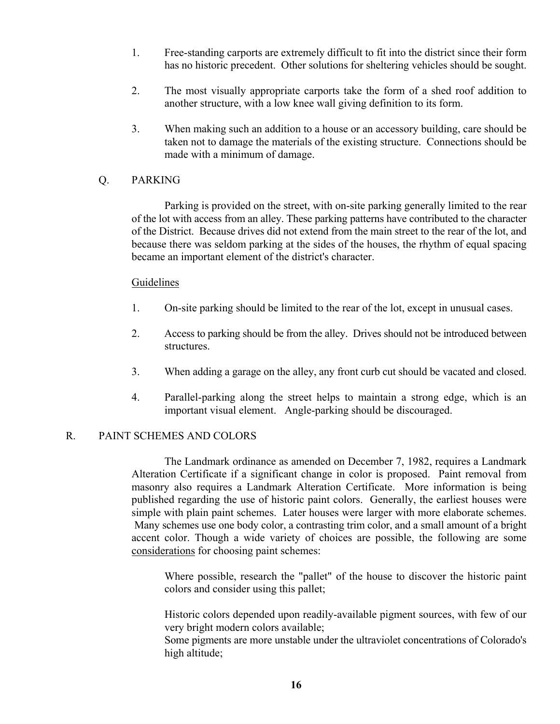- 1. Free-standing carports are extremely difficult to fit into the district since their form has no historic precedent. Other solutions for sheltering vehicles should be sought.
- 2. The most visually appropriate carports take the form of a shed roof addition to another structure, with a low knee wall giving definition to its form.
- 3. When making such an addition to a house or an accessory building, care should be taken not to damage the materials of the existing structure. Connections should be made with a minimum of damage.

### Q. PARKING

Parking is provided on the street, with on-site parking generally limited to the rear of the lot with access from an alley. These parking patterns have contributed to the character of the District. Because drives did not extend from the main street to the rear of the lot, and because there was seldom parking at the sides of the houses, the rhythm of equal spacing became an important element of the district's character.

### Guidelines

- 1. On-site parking should be limited to the rear of the lot, except in unusual cases.
- 2. Access to parking should be from the alley. Drives should not be introduced between structures.
- 3. When adding a garage on the alley, any front curb cut should be vacated and closed.
- 4. Parallel-parking along the street helps to maintain a strong edge, which is an important visual element. Angle-parking should be discouraged.

### R. PAINT SCHEMES AND COLORS

The Landmark ordinance as amended on December 7, 1982, requires a Landmark Alteration Certificate if a significant change in color is proposed. Paint removal from masonry also requires a Landmark Alteration Certificate. More information is being published regarding the use of historic paint colors. Generally, the earliest houses were simple with plain paint schemes. Later houses were larger with more elaborate schemes. Many schemes use one body color, a contrasting trim color, and a small amount of a bright accent color. Though a wide variety of choices are possible, the following are some considerations for choosing paint schemes:

Where possible, research the "pallet" of the house to discover the historic paint colors and consider using this pallet;

Historic colors depended upon readily-available pigment sources, with few of our very bright modern colors available;

Some pigments are more unstable under the ultraviolet concentrations of Colorado's high altitude;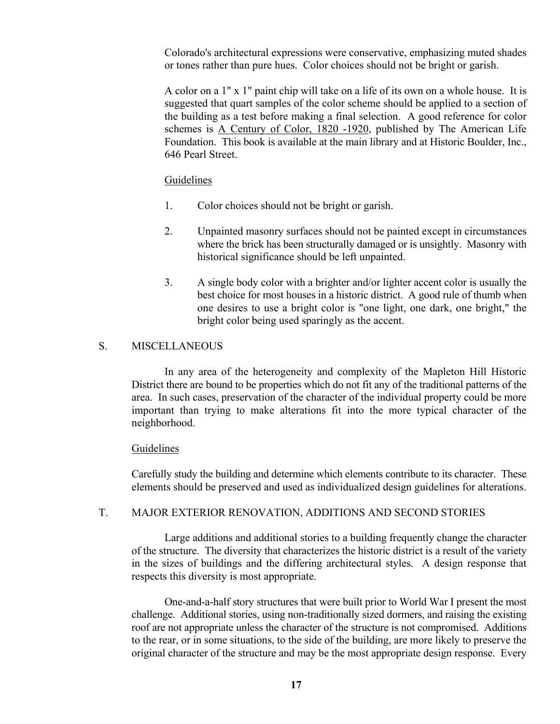Colorado's architectural expressions were conservative, emphasizing muted shades or tones rather than pure hues. Color choices should not be bright or garish.

A color on a 1" x 1" paint chip will take on a life of its own on a whole house. It is suggested that quart samples of the color scheme should be applied to a section of the building as a test before making a final selection. A good reference for color schemes is A Century of Color, 1820 -1920, published by The American Life Foundation. This book is available at the main library and at Historic Boulder, Inc., 646 Pearl Street.

#### **Guidelines**

- 1. Color choices should not be bright or garish.
- 2. Unpainted masonry surfaces should not be painted except in circumstances where the brick has been structurally damaged or is unsightly. Masonry with historical significance should be left unpainted.
- 3. A single body color with a brighter and/or lighter accent color is usually the best choice for most houses in a historic district. A good rule of thumb when one desires to use a bright color is "one light, one dark, one bright," the bright color being used sparingly as the accent.

### S. MISCELLANEOUS

In any area of the heterogeneity and complexity of the Mapleton Hill Historic District there are bound to be properties which do not fit any of the traditional patterns of the area. In such cases, preservation of the character of the individual property could be more important than trying to make alterations fit into the more typical character of the neighborhood.

#### Guidelines

Carefully study the building and determine which elements contribute to its character. These elements should be preserved and used as individualized design guidelines for alterations.

### T. MAJOR EXTERIOR RENOVATION, ADDITIONS AND SECOND STORIES

Large additions and additional stories to a building frequently change the character of the structure. The diversity that characterizes the historic district is a result of the variety in the sizes of buildings and the differing architectural styles. A design response that respects this diversity is most appropriate.

One-and-a-half story structures that were built prior to World War I present the most challenge. Additional stories, using non-traditionally sized dormers, and raising the existing roof are not appropriate unless the character of the structure is not compromised. Additions to the rear, or in some situations, to the side of the building, are more likely to preserve the original character of the structure and may be the most appropriate design response. Every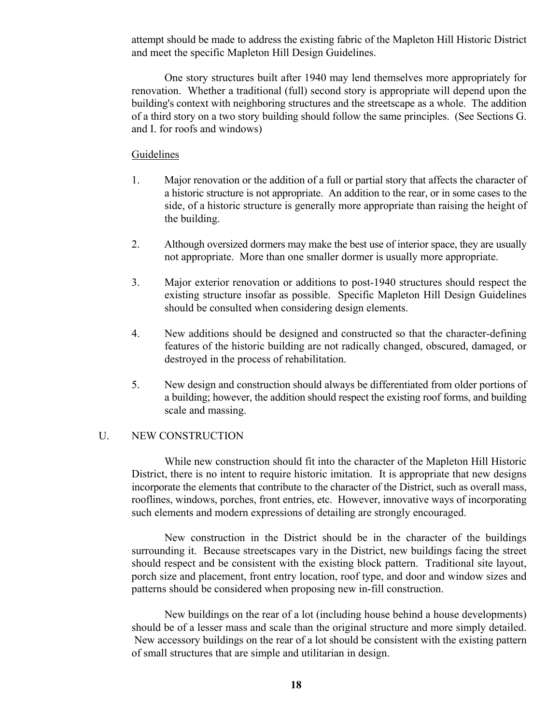attempt should be made to address the existing fabric of the Mapleton Hill Historic District and meet the specific Mapleton Hill Design Guidelines.

One story structures built after 1940 may lend themselves more appropriately for renovation. Whether a traditional (full) second story is appropriate will depend upon the building's context with neighboring structures and the streetscape as a whole. The addition of a third story on a two story building should follow the same principles. (See Sections G. and I. for roofs and windows)

#### **Guidelines**

- 1. Major renovation or the addition of a full or partial story that affects the character of a historic structure is not appropriate. An addition to the rear, or in some cases to the side, of a historic structure is generally more appropriate than raising the height of the building.
- 2. Although oversized dormers may make the best use of interior space, they are usually not appropriate. More than one smaller dormer is usually more appropriate.
- 3. Major exterior renovation or additions to post-1940 structures should respect the existing structure insofar as possible. Specific Mapleton Hill Design Guidelines should be consulted when considering design elements.
- 4. New additions should be designed and constructed so that the character-defining features of the historic building are not radically changed, obscured, damaged, or destroyed in the process of rehabilitation.
- 5. New design and construction should always be differentiated from older portions of a building; however, the addition should respect the existing roof forms, and building scale and massing.

#### U. NEW CONSTRUCTION

While new construction should fit into the character of the Mapleton Hill Historic District, there is no intent to require historic imitation. It is appropriate that new designs incorporate the elements that contribute to the character of the District, such as overall mass, rooflines, windows, porches, front entries, etc. However, innovative ways of incorporating such elements and modern expressions of detailing are strongly encouraged.

New construction in the District should be in the character of the buildings surrounding it. Because streetscapes vary in the District, new buildings facing the street should respect and be consistent with the existing block pattern. Traditional site layout, porch size and placement, front entry location, roof type, and door and window sizes and patterns should be considered when proposing new in-fill construction.

New buildings on the rear of a lot (including house behind a house developments) should be of a lesser mass and scale than the original structure and more simply detailed. New accessory buildings on the rear of a lot should be consistent with the existing pattern of small structures that are simple and utilitarian in design.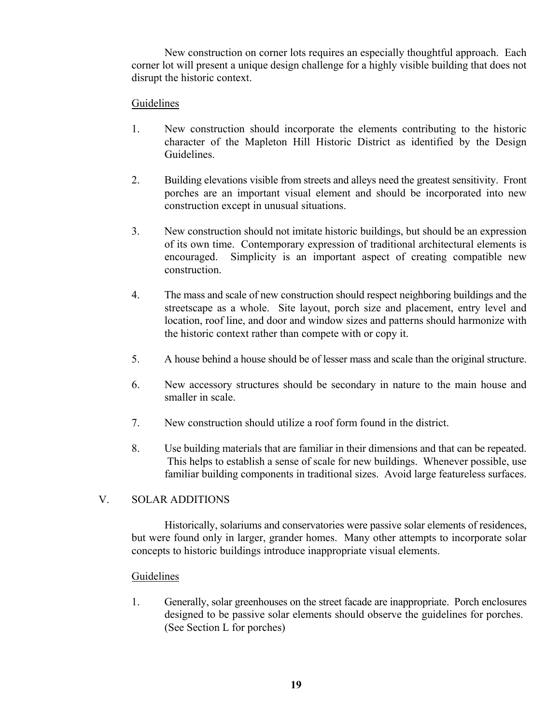New construction on corner lots requires an especially thoughtful approach. Each corner lot will present a unique design challenge for a highly visible building that does not disrupt the historic context.

# Guidelines

- 1. New construction should incorporate the elements contributing to the historic character of the Mapleton Hill Historic District as identified by the Design **Guidelines**
- 2. Building elevations visible from streets and alleys need the greatest sensitivity. Front porches are an important visual element and should be incorporated into new construction except in unusual situations.
- 3. New construction should not imitate historic buildings, but should be an expression of its own time. Contemporary expression of traditional architectural elements is encouraged. Simplicity is an important aspect of creating compatible new construction.
- 4. The mass and scale of new construction should respect neighboring buildings and the streetscape as a whole. Site layout, porch size and placement, entry level and location, roof line, and door and window sizes and patterns should harmonize with the historic context rather than compete with or copy it.
- 5. A house behind a house should be of lesser mass and scale than the original structure.
- 6. New accessory structures should be secondary in nature to the main house and smaller in scale.
- 7. New construction should utilize a roof form found in the district.
- 8. Use building materials that are familiar in their dimensions and that can be repeated. This helps to establish a sense of scale for new buildings. Whenever possible, use familiar building components in traditional sizes. Avoid large featureless surfaces.

# V. SOLAR ADDITIONS

Historically, solariums and conservatories were passive solar elements of residences, but were found only in larger, grander homes. Many other attempts to incorporate solar concepts to historic buildings introduce inappropriate visual elements.

### Guidelines

1. Generally, solar greenhouses on the street facade are inappropriate. Porch enclosures designed to be passive solar elements should observe the guidelines for porches. (See Section L for porches)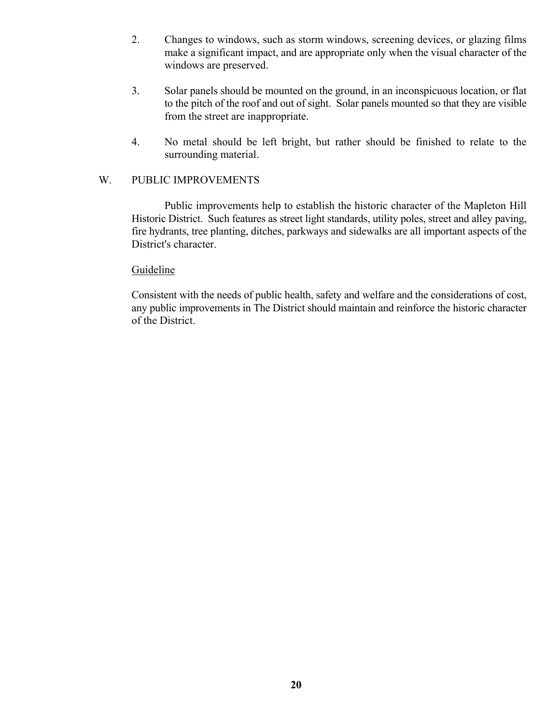- 2. Changes to windows, such as storm windows, screening devices, or glazing films make a significant impact, and are appropriate only when the visual character of the windows are preserved.
- 3. Solar panels should be mounted on the ground, in an inconspicuous location, or flat to the pitch of the roof and out of sight. Solar panels mounted so that they are visible from the street are inappropriate.
- 4. No metal should be left bright, but rather should be finished to relate to the surrounding material.

### W. PUBLIC IMPROVEMENTS

Public improvements help to establish the historic character of the Mapleton Hill Historic District. Such features as street light standards, utility poles, street and alley paving, fire hydrants, tree planting, ditches, parkways and sidewalks are all important aspects of the District's character.

### Guideline

Consistent with the needs of public health, safety and welfare and the considerations of cost, any public improvements in The District should maintain and reinforce the historic character of the District.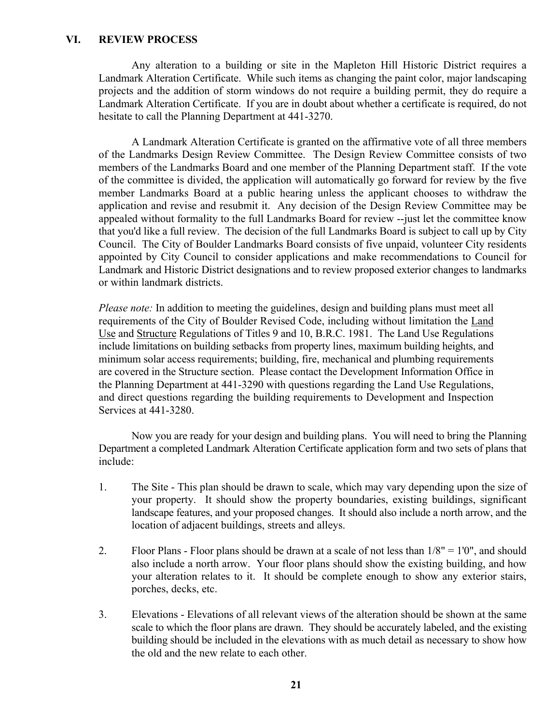#### **VI. REVIEW PROCESS**

Any alteration to a building or site in the Mapleton Hill Historic District requires a Landmark Alteration Certificate. While such items as changing the paint color, major landscaping projects and the addition of storm windows do not require a building permit, they do require a Landmark Alteration Certificate. If you are in doubt about whether a certificate is required, do not hesitate to call the Planning Department at 441-3270.

A Landmark Alteration Certificate is granted on the affirmative vote of all three members of the Landmarks Design Review Committee. The Design Review Committee consists of two members of the Landmarks Board and one member of the Planning Department staff. If the vote of the committee is divided, the application will automatically go forward for review by the five member Landmarks Board at a public hearing unless the applicant chooses to withdraw the application and revise and resubmit it. Any decision of the Design Review Committee may be appealed without formality to the full Landmarks Board for review --just let the committee know that you'd like a full review. The decision of the full Landmarks Board is subject to call up by City Council. The City of Boulder Landmarks Board consists of five unpaid, volunteer City residents appointed by City Council to consider applications and make recommendations to Council for Landmark and Historic District designations and to review proposed exterior changes to landmarks or within landmark districts.

*Please note:* In addition to meeting the guidelines, design and building plans must meet all requirements of the City of Boulder Revised Code, including without limitation the Land Use and Structure Regulations of Titles 9 and 10, B.R.C. 1981. The Land Use Regulations include limitations on building setbacks from property lines, maximum building heights, and minimum solar access requirements; building, fire, mechanical and plumbing requirements are covered in the Structure section. Please contact the Development Information Office in the Planning Department at 441-3290 with questions regarding the Land Use Regulations, and direct questions regarding the building requirements to Development and Inspection Services at 441-3280.

Now you are ready for your design and building plans. You will need to bring the Planning Department a completed Landmark Alteration Certificate application form and two sets of plans that include:

- 1. The Site This plan should be drawn to scale, which may vary depending upon the size of your property. It should show the property boundaries, existing buildings, significant landscape features, and your proposed changes. It should also include a north arrow, and the location of adjacent buildings, streets and alleys.
- 2. Floor Plans Floor plans should be drawn at a scale of not less than 1/8" = 1'0", and should also include a north arrow. Your floor plans should show the existing building, and how your alteration relates to it. It should be complete enough to show any exterior stairs, porches, decks, etc.
- 3. Elevations Elevations of all relevant views of the alteration should be shown at the same scale to which the floor plans are drawn. They should be accurately labeled, and the existing building should be included in the elevations with as much detail as necessary to show how the old and the new relate to each other.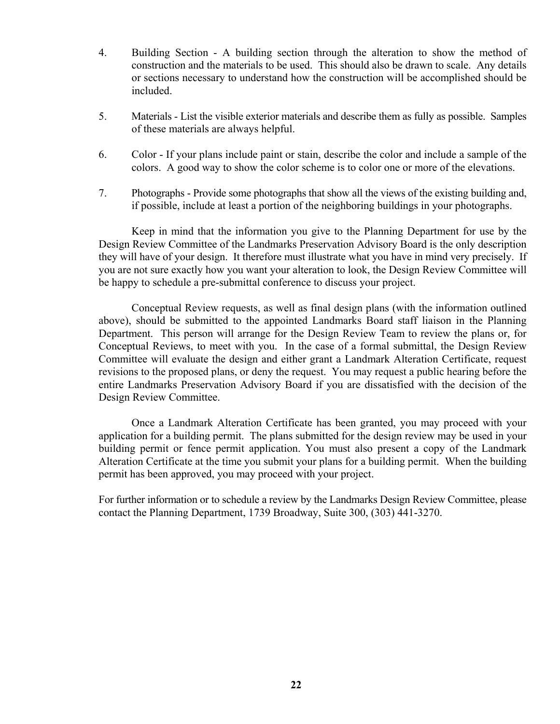- 4. Building Section A building section through the alteration to show the method of construction and the materials to be used. This should also be drawn to scale. Any details or sections necessary to understand how the construction will be accomplished should be included.
- 5. Materials List the visible exterior materials and describe them as fully as possible. Samples of these materials are always helpful.
- 6. Color If your plans include paint or stain, describe the color and include a sample of the colors. A good way to show the color scheme is to color one or more of the elevations.
- 7. Photographs Provide some photographs that show all the views of the existing building and, if possible, include at least a portion of the neighboring buildings in your photographs.

Keep in mind that the information you give to the Planning Department for use by the Design Review Committee of the Landmarks Preservation Advisory Board is the only description they will have of your design. It therefore must illustrate what you have in mind very precisely. If you are not sure exactly how you want your alteration to look, the Design Review Committee will be happy to schedule a pre-submittal conference to discuss your project.

Conceptual Review requests, as well as final design plans (with the information outlined above), should be submitted to the appointed Landmarks Board staff liaison in the Planning Department. This person will arrange for the Design Review Team to review the plans or, for Conceptual Reviews, to meet with you. In the case of a formal submittal, the Design Review Committee will evaluate the design and either grant a Landmark Alteration Certificate, request revisions to the proposed plans, or deny the request. You may request a public hearing before the entire Landmarks Preservation Advisory Board if you are dissatisfied with the decision of the Design Review Committee.

Once a Landmark Alteration Certificate has been granted, you may proceed with your application for a building permit. The plans submitted for the design review may be used in your building permit or fence permit application. You must also present a copy of the Landmark Alteration Certificate at the time you submit your plans for a building permit. When the building permit has been approved, you may proceed with your project.

For further information or to schedule a review by the Landmarks Design Review Committee, please contact the Planning Department, 1739 Broadway, Suite 300, (303) 441-3270.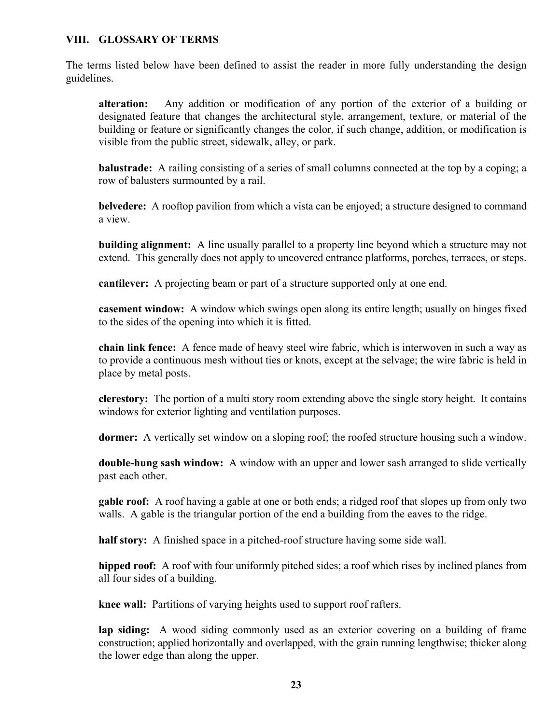## **VIII. GLOSSARY OF TERMS**

The terms listed below have been defined to assist the reader in more fully understanding the design guidelines.

**alteration:** Any addition or modification of any portion of the exterior of a building or designated feature that changes the architectural style, arrangement, texture, or material of the building or feature or significantly changes the color, if such change, addition, or modification is visible from the public street, sidewalk, alley, or park.

**balustrade:** A railing consisting of a series of small columns connected at the top by a coping; a row of balusters surmounted by a rail.

**belvedere:** A rooftop pavilion from which a vista can be enjoyed; a structure designed to command a view.

**building alignment:** A line usually parallel to a property line beyond which a structure may not extend. This generally does not apply to uncovered entrance platforms, porches, terraces, or steps.

**cantilever:** A projecting beam or part of a structure supported only at one end.

**casement window:** A window which swings open along its entire length; usually on hinges fixed to the sides of the opening into which it is fitted.

**chain link fence:** A fence made of heavy steel wire fabric, which is interwoven in such a way as to provide a continuous mesh without ties or knots, except at the selvage; the wire fabric is held in place by metal posts.

**clerestory:** The portion of a multi story room extending above the single story height. It contains windows for exterior lighting and ventilation purposes.

**dormer:** A vertically set window on a sloping roof; the roofed structure housing such a window.

**double-hung sash window:** A window with an upper and lower sash arranged to slide vertically past each other.

**gable roof:** A roof having a gable at one or both ends; a ridged roof that slopes up from only two walls. A gable is the triangular portion of the end a building from the eaves to the ridge.

**half story:** A finished space in a pitched-roof structure having some side wall.

**hipped roof:** A roof with four uniformly pitched sides; a roof which rises by inclined planes from all four sides of a building.

**knee wall:** Partitions of varying heights used to support roof rafters.

**lap siding:** A wood siding commonly used as an exterior covering on a building of frame construction; applied horizontally and overlapped, with the grain running lengthwise; thicker along the lower edge than along the upper.